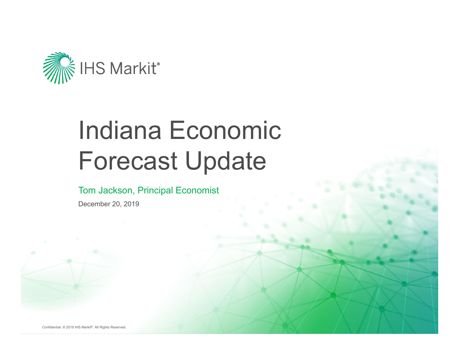

# Indiana Economic Forecast Update

#### Tom Jackson, Principal Economist

December 20, 2019

Confidential. © 2019 IHS Markit®. All Rights Reserved.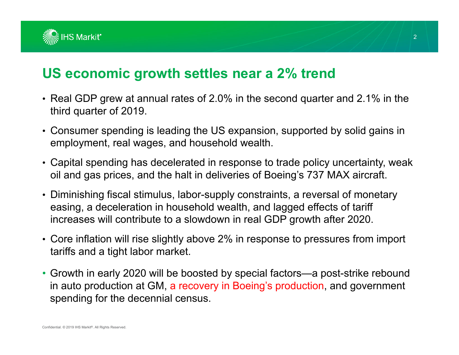

#### **US economic growth settles near a 2% trend**

- Real GDP grew at annual rates of 2.0% in the second quarter and 2.1% in the third quarter of 2019.
- Consumer spending is leading the US expansion, supported by solid gains in employment, real wages, and household wealth.
- Capital spending has decelerated in response to trade policy uncertainty, weak oil and gas prices, and the halt in deliveries of Boeing's 737 MAX aircraft.
- Diminishing fiscal stimulus, labor-supply constraints, a reversal of monetary easing, a deceleration in household wealth, and lagged effects of tariff increases will contribute to a slowdown in real GDP growth after 2020.
- Core inflation will rise slightly above 2% in response to pressures from import tariffs and a tight labor market.
- Growth in early 2020 will be boosted by special factors—a post-strike rebound in auto production at GM, a recovery in Boeing's production, and government spending for the decennial census.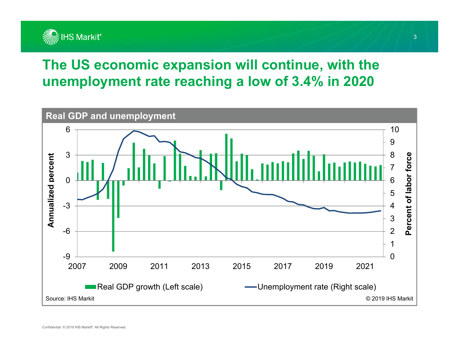

### **The US economic expansion will continue, with the unemployment rate reaching a low of 3.4% in 2020**

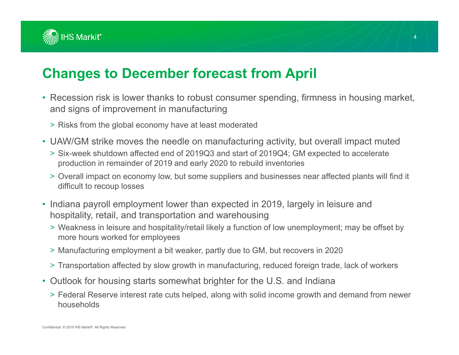

#### **Changes to December forecast from April**

- Recession risk is lower thanks to robust consumer spending, firmness in housing market, and signs of improvement in manufacturing
	- > Risks from the global economy have at least moderated
- UAW/GM strike moves the needle on manufacturing activity, but overall impact muted
	- > Six-week shutdown affected end of 2019Q3 and start of 2019Q4; GM expected to accelerate production in remainder of 2019 and early 2020 to rebuild inventories
	- > Overall impact on economy low, but some suppliers and businesses near affected plants will find it difficult to recoup losses
- Indiana payroll employment lower than expected in 2019, largely in leisure and hospitality, retail, and transportation and warehousing
	- > Weakness in leisure and hospitality/retail likely a function of low unemployment; may be offset by more hours worked for employees
	- > Manufacturing employment a bit weaker, partly due to GM, but recovers in 2020
	- > Transportation affected by slow growth in manufacturing, reduced foreign trade, lack of workers
- Outlook for housing starts somewhat brighter for the U.S. and Indiana
	- > Federal Reserve interest rate cuts helped, along with solid income growth and demand from newer households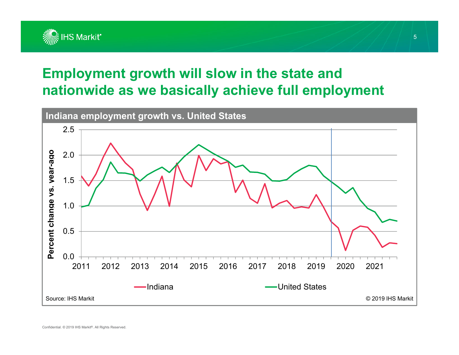

#### **Employment growth will slow in the state and nationwide as we basically achieve full employment**

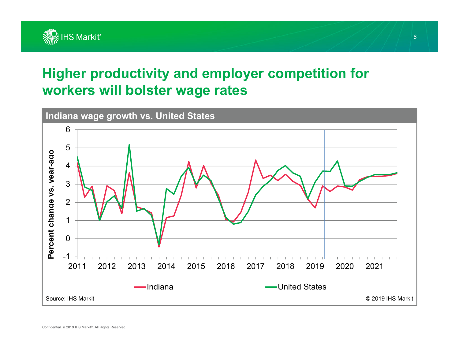

#### **Higher productivity and employer competition for workers will bolster wage rates**

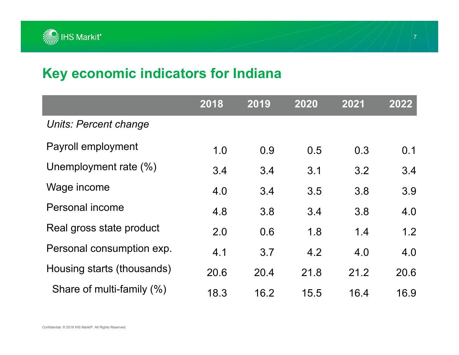

#### **Key economic indicators for Indiana**

|                            | 2018 | 2019 | 2020 | 2021 | 2022 |
|----------------------------|------|------|------|------|------|
| Units: Percent change      |      |      |      |      |      |
| Payroll employment         | 1.0  | 0.9  | 0.5  | 0.3  | 0.1  |
| Unemployment rate (%)      | 3.4  | 3.4  | 3.1  | 3.2  | 3.4  |
| Wage income                | 4.0  | 3.4  | 3.5  | 3.8  | 3.9  |
| Personal income            | 4.8  | 3.8  | 3.4  | 3.8  | 4.0  |
| Real gross state product   | 2.0  | 0.6  | 1.8  | 1.4  | 1.2  |
| Personal consumption exp.  | 4.1  | 3.7  | 4.2  | 4.0  | 4.0  |
| Housing starts (thousands) | 20.6 | 20.4 | 21.8 | 21.2 | 20.6 |
| Share of multi-family (%)  | 18.3 | 16.2 | 15.5 | 16.4 | 16.9 |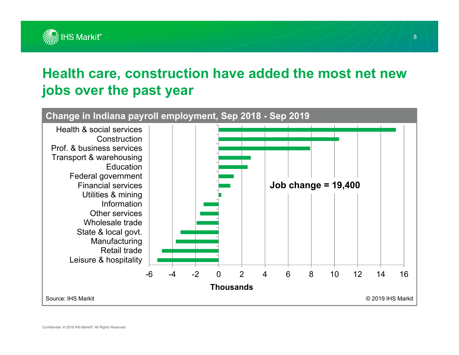

#### **Health care, construction have added the most net new jobs over the past year**



Confidential. © 2019 IHS Markit®. All Rights Reserved.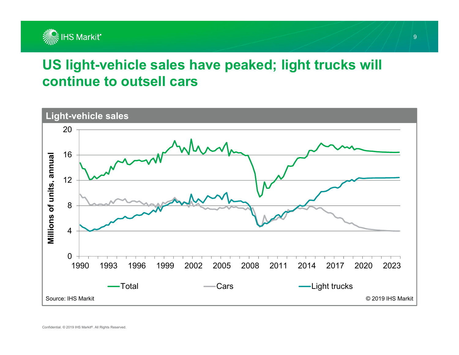

#### **US light-vehicle sales have peaked; light trucks will continue to outsell cars**

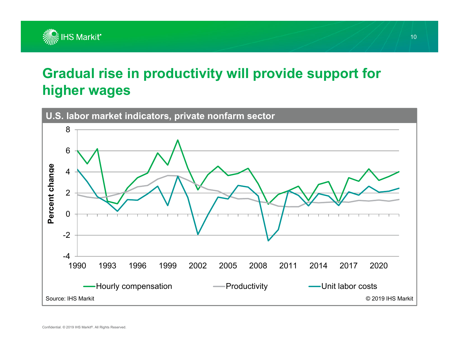

### **Gradual rise in productivity will provide support for higher wages**

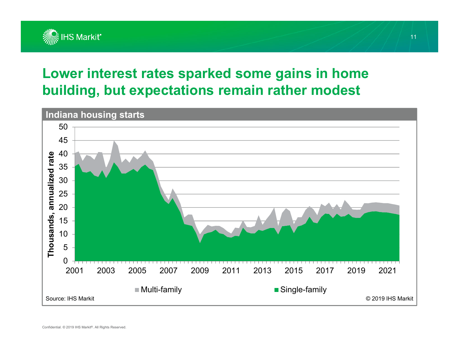

#### **Lower interest rates sparked some gains in home building, but expectations remain rather modest**



11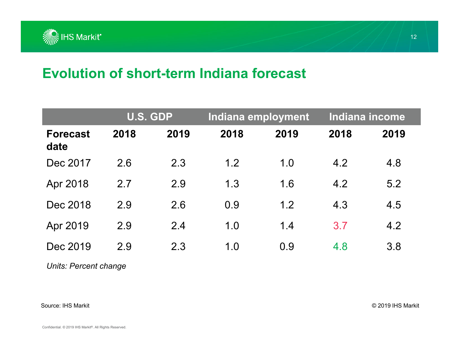

#### **Evolution of short-term Indiana forecast**

|                         |      | <b>U.S. GDP</b> |      | Indiana employment |      | <b>Indiana income</b> |  |
|-------------------------|------|-----------------|------|--------------------|------|-----------------------|--|
| <b>Forecast</b><br>date | 2018 | 2019            | 2018 | 2019               | 2018 | 2019                  |  |
| Dec 2017                | 2.6  | 2.3             | 1.2  | 1.0                | 4.2  | 4.8                   |  |
| Apr 2018                | 2.7  | 2.9             | 1.3  | 1.6                | 4.2  | 5.2                   |  |
| Dec 2018                | 2.9  | 2.6             | 0.9  | 1.2                | 4.3  | 4.5                   |  |
| Apr 2019                | 2.9  | 2.4             | 1.0  | 1.4                | 3.7  | 4.2                   |  |
| Dec 2019                | 2.9  | 2.3             | 1.0  | 0.9                | 4.8  | 3.8                   |  |

*Units: Percent change*

#### Source: IHS Markit

© 2019 IHS Markit

12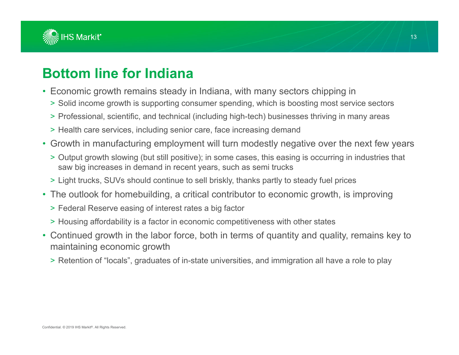

#### **Bottom line for Indiana**

- Economic growth remains steady in Indiana, with many sectors chipping in
	- > Solid income growth is supporting consumer spending, which is boosting most service sectors
	- > Professional, scientific, and technical (including high-tech) businesses thriving in many areas
	- > Health care services, including senior care, face increasing demand
- Growth in manufacturing employment will turn modestly negative over the next few years
	- > Output growth slowing (but still positive); in some cases, this easing is occurring in industries that saw big increases in demand in recent years, such as semi trucks
	- > Light trucks, SUVs should continue to sell briskly, thanks partly to steady fuel prices
- The outlook for homebuilding, a critical contributor to economic growth, is improving
	- > Federal Reserve easing of interest rates a big factor
	- > Housing affordability is a factor in economic competitiveness with other states
- Continued growth in the labor force, both in terms of quantity and quality, remains key to maintaining economic growth
	- > Retention of "locals", graduates of in-state universities, and immigration all have a role to play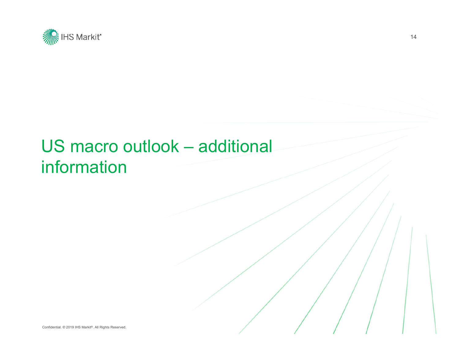

## US macro outlook – additional information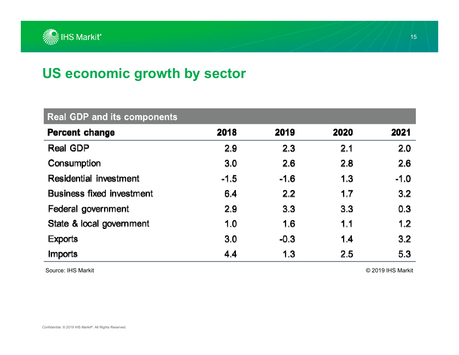

### **US economic growth by sector**

| <b>Real GDP and its components</b> |        |        |      |        |  |
|------------------------------------|--------|--------|------|--------|--|
| Percent change                     | 2018   | 2019   | 2020 | 2021   |  |
| Real GDP                           | 2.9    | 2.3    | 2.1  | 2.0    |  |
| Consumption                        | 3.0    | 2.6    | 2.8  | 2.6    |  |
| Residential investment             | $-1.5$ | $-1.6$ | 1.3  | $-1.0$ |  |
| <b>Business fixed investment</b>   | 6.4    | 2.2    | 1.7  | 3.2    |  |
| Federal government                 | 2.9    | 3.3    | 3.3  | 0.3    |  |
| State & local government           | 1.0    | 1.6    | 1.1  | 1,2    |  |
| <b>Exports</b>                     | 3.0    | $-0.3$ | 1.4  | 3.2    |  |
| Imports                            | 4.4    | 1.3    | 2.5  | 5.3    |  |

Source: IHS Markit

© 2019 IHS Markit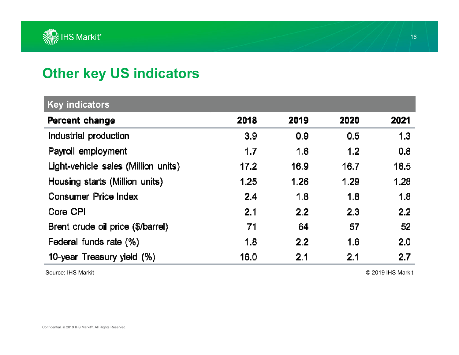

### **Other key US indicators**

| <b>Key indicators</b>               |      |      |      |      |  |
|-------------------------------------|------|------|------|------|--|
| Percent change                      | 2018 | 2019 | 2020 | 2021 |  |
| Industrial production               | 3.9  | 0.9  | 0.5  | 1.3  |  |
| Payroll employment                  | 1.7  | 1.6  | 1.2  | 0.8  |  |
| Light-vehicle sales (Million units) | 17.2 | 16.9 | 16.7 | 16.5 |  |
| Housing starts (Million units)      | 1.25 | 1.26 | 1.29 | 1.28 |  |
| <b>Consumer Price Index</b>         | 2.4  | 1.8  | 1.8  | 1.8  |  |
| Core CPI                            | 2.1  | 2.2  | 2.3  | 2.2  |  |
| Brent crude oil price (\$/barrel)   | 71   | 64   | 57   | 52   |  |
| Federal funds rate (%)              | 1.8  | 2.2  | 1.6  | 2.0  |  |
| 10-year Treasury yield (%)          | 16.0 | 2.1  | 2.1  | 2.7  |  |

Source: IHS Markit

© 2019 IHS Markit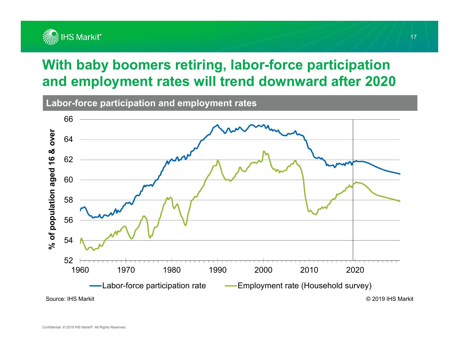

### **With baby boomers retiring, labor-force participation and employment rates will trend downward after 2020**

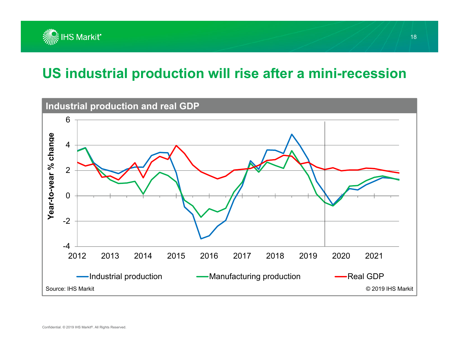

#### **US industrial production will rise after a mini-recession**

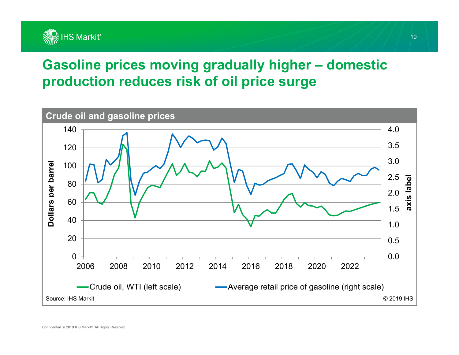

### **Gasoline prices moving gradually higher – domestic production reduces risk of oil price surge**

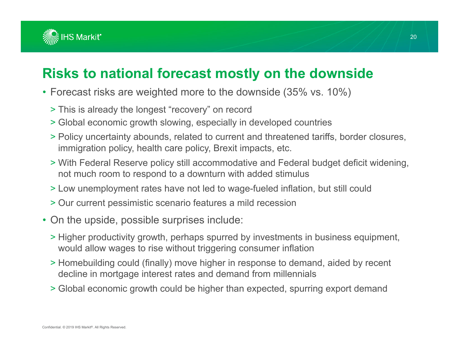

### **Risks to national forecast mostly on the downside**

- Forecast risks are weighted more to the downside (35% vs. 10%)
	- > This is already the longest "recovery" on record
	- > Global economic growth slowing, especially in developed countries
	- > Policy uncertainty abounds, related to current and threatened tariffs, border closures, immigration policy, health care policy, Brexit impacts, etc.
	- > With Federal Reserve policy still accommodative and Federal budget deficit widening, not much room to respond to a downturn with added stimulus
	- > Low unemployment rates have not led to wage-fueled inflation, but still could
	- > Our current pessimistic scenario features a mild recession
- On the upside, possible surprises include:
	- > Higher productivity growth, perhaps spurred by investments in business equipment, would allow wages to rise without triggering consumer inflation
	- > Homebuilding could (finally) move higher in response to demand, aided by recent decline in mortgage interest rates and demand from millennials
	- > Global economic growth could be higher than expected, spurring export demand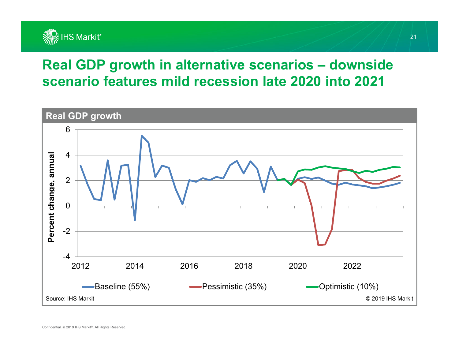

#### **Real GDP growth in alternative scenarios – downside scenario features mild recession late 2020 into 2021**

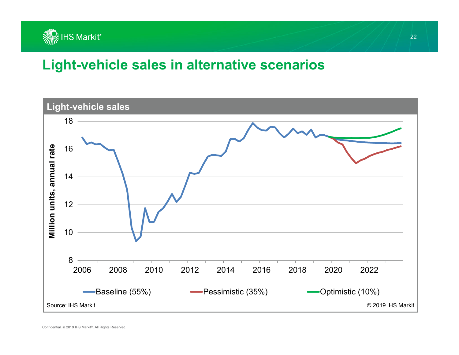

#### **Light-vehicle sales in alternative scenarios**